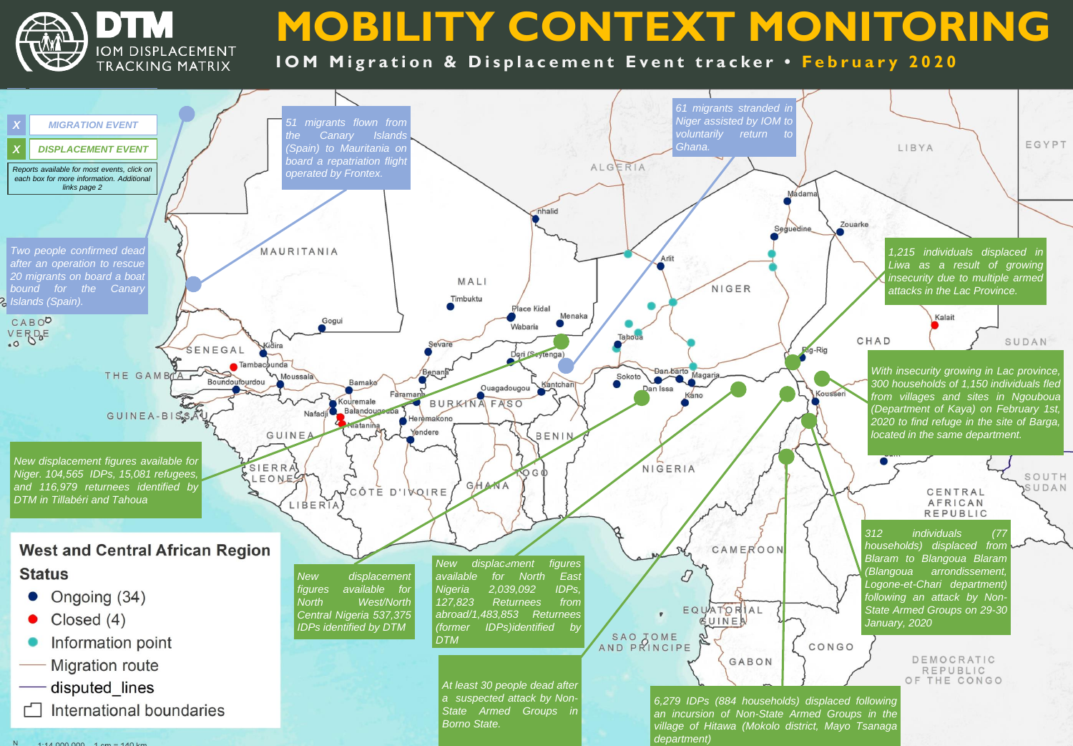

# **MOBILITY CONTEXT MONITORING**

**IOM Migration & Displacement Event tracker • February 2020**